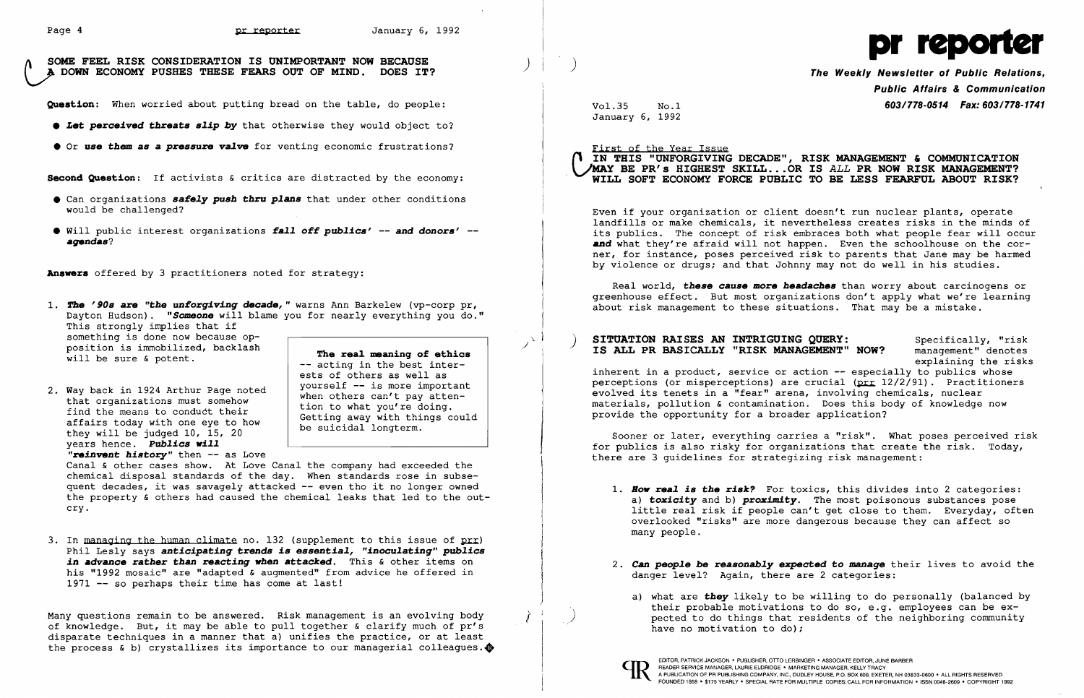Page 4 DE POOP OF PERSON IS UNIMPORTANT NOW BECAUSE ) )  $\begin{matrix} \end{matrix}$  ) and  $\begin{matrix} \end{matrix}$  and  $\begin{matrix} \end{matrix}$  and  $\begin{matrix} \end{matrix}$   $\begin{matrix} \end{matrix}$   $\begin{matrix} \end{matrix}$   $\begin{matrix} \end{matrix}$   $\begin{matrix} \end{matrix}$   $\begin{matrix} \end{matrix}$   $\begin{matrix} \end{matrix}$   $\begin{matrix} \end{matrix}$   $\begin{matrix} \end$ 

Question: When worried about putting bread on the table, do people:

- **Let perceived threats slip by** that otherwise they would object to?
- **Or use them as a pressure valve** for venting economic frustrations?

Second Question: If activists & critics are distracted by the economy:

- **•** Can organizations **safely push thru plans** that under other conditions would be challenged?
- • Will public interest organizations *falloff publics'* -- *and donors' agendas?*

Answers offered by 3 practitioners noted for strategy:

1. The '90s are "the *unforgiving decade*, " warns Ann Barkelew (vp-corp pr, Dayton Hudson). *"Someone* will blame you for nearly everything you do." This strongly implies that if something is done now because opposition is immobilized, backlash

will be sure & potent.

3. In managing the human climate no. 132 (supplement to this issue of prr) Phil Lesly says *anticipating trends is essential, "inoculating" publics in* advance rather than *reacting* vhen *attacked.* This & other items on his "1992 mosaic" are "adapted & augmented" from advice he offered in 1971 -- so perhaps their time has come at last!

Many questions remain to be answered. Risk management is an evolving body of knowledge. But, it may be able to pull together & clarify much of pr's disparate techniques in a manner that a) unifies the practice, or at least the process & b) crystallizes its importance to our managerial colleagues. $\clubsuit$ 

2. Way back in 1924 Arthur Page noted that organizations must somehow find the means to conduct their affairs today with one eye to how they will be judged 10, 15, 20 years hence. *Publics vill* 

Public Affairs & Communication Vol.35 No.1 603/778-0514 Fax: 603/778-1741

"reinvent *history"* then -- as Love

First of the Year Issue IN THIS "UNFORGIVING DECADE", RISK MANAGEMENT & COMMUNICATION / MAY BE PR's HIGHEST SKILL ... OR IS *ALL* PR NOW RISK MANAGEMENT?

The rea1 meaninq of ethics -- acting in the best interests of others as well as yourself -- is more important when others can't pay attention to what you're doing. Getting away with things could be suicidal longterm.

Canal & other cases show. At Love Canal the company had exceeded the chemical disposal standards of the day. When standards rose in subsequent decades, it was savagely attacked -- even tho it no longer owned the property & others had caused the chemical leaks that led to the outcry.

Real world, these cause more headaches than worry about carcinogens or greenhouse effect. But most organizations don't apply what we're learning about risk management to these situations. That may be a mistake.

## $\mathcal{P}(\mathcal{P})$  SITUATION RAISES AN INTRIGUING QUERY: Specifically, "risk Specifically, "risk" (Specifically, "risk MANAGEMENT" NOW? management" denotes IS ALL PR BASICALLY "RISK MANAGEMENT" NOW?

inherent in a product, service or action -- especially to publics whose perceptions (or misperceptions) are crucial ( $prr 12/2/91$ ). Practitioners evolved its tenets in a "fear" arena, involving chemicals, nuclear materials, pollution & contamination. Does this body of knowledge now provide the opportunity for a broader application?

- many people.
- danger level? Again, there are 2 categories:
	- have no motivation to do);



January 6, 1992

## WILL SOFT ECONOMY FORCE PUBLIC TO BE LESS FEARFUL ABOUT RISK?

Even if your organization or client doesn't run nuclear plants, operate landfills or make chemicals, it nevertheless creates risks in the minds of its publics. The concept of risk embraces both what people fear will occur and what they're afraid will not happen. Even the schoolhouse on the corner, for instance, poses perceived risk to parents that Jane may be harmed by violence or drugs; and that Johnny may not do well in his studies.

explaining the risks

Sooner or later, everything carries a "risk". What poses perceived risk for publics is also risky for organizations that create the risk. Today, there are 3 guidelines for strategizing risk management:

*1. Bov real is* the *risk?* For toxics, this divides into 2 categories: a) *toxicity* and b) *proximity.* The most poisonous substances pose little real risk if people can't get close to them. Everyday, often overlooked "risks" are more dangerous because they can affect so

*2. Can people be reasonably* expected to *manage* their lives to avoid the

a) what are **they** likely to be willing to do personally (balanced by their probable motivations to do so, e.g. employees can be expected to do things that residents of the neighboring community